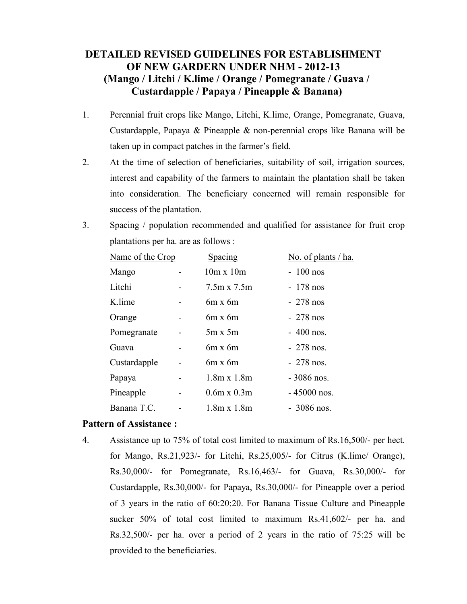# **DETAILED REVISED GUIDELINES FOR ESTABLISHMENT OF NEW GARDERN UNDER NHM - 2012-13 (Mango / Litchi / K.lime / Orange / Pomegranate / Guava / Custardapple / Papaya / Pineapple & Banana)**

- 1. Perennial fruit crops like Mango, Litchi, K.lime, Orange, Pomegranate, Guava, Custardapple, Papaya & Pineapple & non-perennial crops like Banana will be taken up in compact patches in the farmer's field.
- 2. At the time of selection of beneficiaries, suitability of soil, irrigation sources, interest and capability of the farmers to maintain the plantation shall be taken into consideration. The beneficiary concerned will remain responsible for success of the plantation.
- 3. Spacing / population recommended and qualified for assistance for fruit crop plantations per ha. are as follows :

| Name of the Crop | Spacing            | No. of plants / ha. |
|------------------|--------------------|---------------------|
| Mango            | $10m \times 10m$   | $-100$ nos          |
| Litchi           | $7.5m \times 7.5m$ | $-178$ nos          |
| K lime           | $6m \times 6m$     | $-278$ nos          |
| Orange           | $6m \times 6m$     | $-278$ nos          |
| Pomegranate      | $5m \times 5m$     | $-400$ nos.         |
| Guava            | $6m \times 6m$     | $-278$ nos.         |
| Custardapple     | $6m \times 6m$     | $-278$ nos.         |
| Papaya           | $1.8m \times 1.8m$ | $-3086$ nos.        |
| Pineapple        | $0.6m \times 0.3m$ | $-45000$ nos.       |
| Banana T.C.      | $1.8m \times 1.8m$ | $-3086$ nos.        |

#### **Pattern of Assistance :**

4. Assistance up to 75% of total cost limited to maximum of Rs.16,500/- per hect. for Mango, Rs.21,923/- for Litchi, Rs.25,005/- for Citrus (K.lime/ Orange), Rs.30,000/- for Pomegranate, Rs.16,463/- for Guava, Rs.30,000/- for Custardapple, Rs.30,000/- for Papaya, Rs.30,000/- for Pineapple over a period of 3 years in the ratio of 60:20:20. For Banana Tissue Culture and Pineapple sucker 50% of total cost limited to maximum Rs.41,602/- per ha. and Rs.32,500/- per ha. over a period of 2 years in the ratio of 75:25 will be provided to the beneficiaries.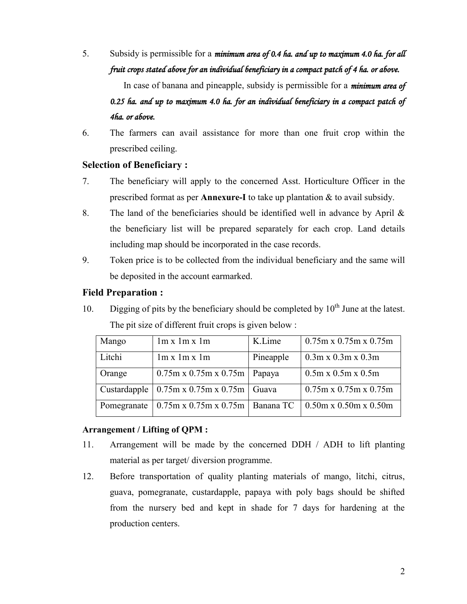5. Subsidy is permissible for a *minimum area of 0.4 ha. and up to maximum 4.0 ha. for all fruit crops stated above for an individual beneficiary in a compact patch of 4 ha. or above.* 

In case of banana and pineapple, subsidy is permissible for a *minimum area of 0.25 ha. and up to maximum 4.0 ha. for an individual beneficiary in a compact patch of 4ha. or above.* 

6. The farmers can avail assistance for more than one fruit crop within the prescribed ceiling.

#### **Selection of Beneficiary :**

- 7. The beneficiary will apply to the concerned Asst. Horticulture Officer in the prescribed format as per **Annexure-I** to take up plantation & to avail subsidy.
- 8. The land of the beneficiaries should be identified well in advance by April & the beneficiary list will be prepared separately for each crop. Land details including map should be incorporated in the case records.
- 9. Token price is to be collected from the individual beneficiary and the same will be deposited in the account earmarked.

#### **Field Preparation :**

10. Digging of pits by the beneficiary should be completed by  $10<sup>th</sup>$  June at the latest. The pit size of different fruit crops is given below :

| Mango        | 1m x 1m x 1m                               | K.Lime         | $0.75$ m x 0.75m x 0.75m          |
|--------------|--------------------------------------------|----------------|-----------------------------------|
| Litchi       | 1m x 1m x 1m                               | Pineapple      | $0.3$ m x $0.3$ m x $0.3$ m       |
| Orange       | $0.75m \times 0.75m \times 0.75m$          | $\vert$ Papaya | $0.5m \times 0.5m \times 0.5m$    |
| Custardapple | $0.75$ m x 0.75m x 0.75m   Guava           |                | $0.75$ m x 0.75m x 0.75m          |
| Pomegranate  | $0.75$ m x $0.75$ m x $0.75$ m   Banana TC |                | $0.50m \times 0.50m \times 0.50m$ |

#### **Arrangement / Lifting of QPM :**

- 11. Arrangement will be made by the concerned DDH / ADH to lift planting material as per target/ diversion programme.
- 12. Before transportation of quality planting materials of mango, litchi, citrus, guava, pomegranate, custardapple, papaya with poly bags should be shifted from the nursery bed and kept in shade for 7 days for hardening at the production centers.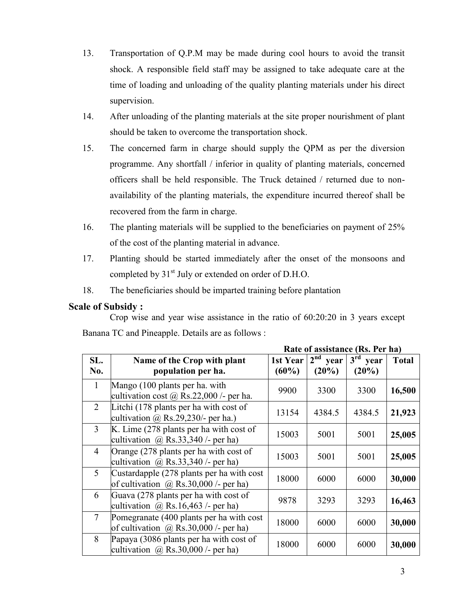- 13. Transportation of Q.P.M may be made during cool hours to avoid the transit shock. A responsible field staff may be assigned to take adequate care at the time of loading and unloading of the quality planting materials under his direct supervision.
- 14. After unloading of the planting materials at the site proper nourishment of plant should be taken to overcome the transportation shock.
- 15. The concerned farm in charge should supply the QPM as per the diversion programme. Any shortfall / inferior in quality of planting materials, concerned officers shall be held responsible. The Truck detained / returned due to nonavailability of the planting materials, the expenditure incurred thereof shall be recovered from the farm in charge.
- 16. The planting materials will be supplied to the beneficiaries on payment of 25% of the cost of the planting material in advance.
- 17. Planting should be started immediately after the onset of the monsoons and completed by 31<sup>st</sup> July or extended on order of D.H.O.
- 18. The beneficiaries should be imparted training before plantation

#### **Scale of Subsidy :**

Crop wise and year wise assistance in the ratio of 60:20:20 in 3 years except Banana TC and Pineapple. Details are as follows :

**Rate of assistance (Rs. Per ha)**

|                |                                                                                           | Rait vi assistance (Rs. I et na) |                        |                                  |              |  |
|----------------|-------------------------------------------------------------------------------------------|----------------------------------|------------------------|----------------------------------|--------------|--|
| SL.<br>No.     | Name of the Crop with plant<br>population per ha.                                         | 1st Year<br>$(60\%)$             | $2nd$ year<br>$(20\%)$ | 3 <sup>rd</sup><br>year<br>(20%) | <b>Total</b> |  |
| $\mathbf{1}$   | Mango (100 plants per ha. with<br>cultivation cost $\omega$ Rs.22,000 /- per ha.          | 9900                             | 3300                   | 3300                             | 16,500       |  |
| 2              | Litchi (178 plants per ha with cost of<br>cultivation $\omega$ Rs.29,230/- per ha.)       | 13154                            | 4384.5                 | 4384.5                           | 21,923       |  |
| $\overline{3}$ | K. Lime (278 plants per ha with cost of<br>cultivation $\omega$ Rs.33,340 /- per ha)      | 15003                            | 5001                   | 5001                             | 25,005       |  |
| $\overline{4}$ | Orange (278 plants per ha with cost of<br>cultivation $\omega$ Rs.33,340 /- per ha)       | 15003                            | 5001                   | 5001                             | 25,005       |  |
| 5              | Custardapple (278 plants per ha with cost<br>of cultivation $\omega$ Rs.30,000 /- per ha) | 18000                            | 6000                   | 6000                             | 30,000       |  |
| 6              | Guava (278 plants per ha with cost of<br>cultivation $\omega$ Rs. 16,463 /- per ha)       | 9878                             | 3293                   | 3293                             | 16,463       |  |
| $\overline{7}$ | Pomegranate (400 plants per ha with cost<br>of cultivation $\omega$ Rs.30,000 /- per ha)  | 18000                            | 6000                   | 6000                             | 30,000       |  |
| 8              | Papaya (3086 plants per ha with cost of<br>cultivation $\omega$ Rs.30,000 /- per ha)      | 18000                            | 6000                   | 6000                             | 30,000       |  |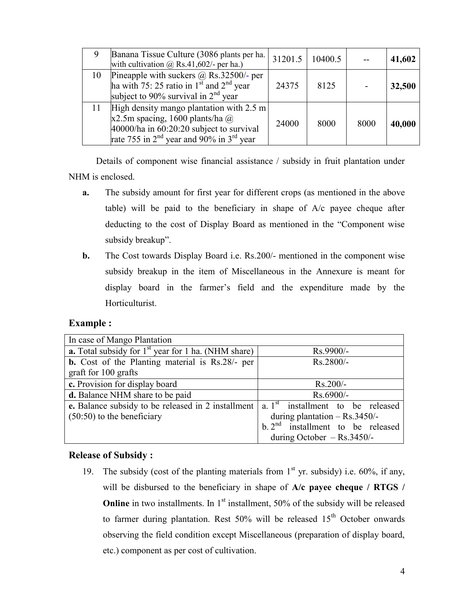|    | Banana Tissue Culture (3086 plants per ha.<br>with cultivation $\omega$ Rs.41,602/- per ha.)                                                                                | 31201.5 | 10400.5 |      | 41,602 |
|----|-----------------------------------------------------------------------------------------------------------------------------------------------------------------------------|---------|---------|------|--------|
| 10 | Pineapple with suckers $\omega$ Rs.32500/- per<br>ha with 75: 25 ratio in $1st$ and $2nd$ year<br>subject to 90% survival in $2nd$ year                                     | 24375   | 8125    |      | 32,500 |
| 11 | High density mango plantation with 2.5 m<br>x2.5m spacing, 1600 plants/ha $@$<br>$40000/ha$ in 60:20:20 subject to survival<br>rate 755 in $2nd$ year and 90% in $3rd$ year | 24000   | 8000    | 8000 | 40,000 |

Details of component wise financial assistance / subsidy in fruit plantation under NHM is enclosed.

- **a.** The subsidy amount for first year for different crops (as mentioned in the above table) will be paid to the beneficiary in shape of A/c payee cheque after deducting to the cost of Display Board as mentioned in the "Component wise subsidy breakup".
- **b.** The Cost towards Display Board i.e. Rs.200/- mentioned in the component wise subsidy breakup in the item of Miscellaneous in the Annexure is meant for display board in the farmer's field and the expenditure made by the Horticulturist.

#### **Example :**

| In case of Mango Plantation                                  |                                     |  |  |
|--------------------------------------------------------------|-------------------------------------|--|--|
| <b>a.</b> Total subsidy for $1st$ year for 1 ha. (NHM share) | $Rs.9900/-$                         |  |  |
| <b>b.</b> Cost of the Planting material is Rs.28/- per       | Rs.2800/-                           |  |  |
| graft for 100 grafts                                         |                                     |  |  |
| $\overline{\mathbf{c}}$ . Provision for display board        | $Rs.200/-$                          |  |  |
| d. Balance NHM share to be paid                              | $Rs.6900/-$                         |  |  |
| e. Balance subsidy to be released in 2 installment           | a. $1st$ installment to be released |  |  |
| $(50:50)$ to the beneficiary                                 | during plantation $-$ Rs.3450/-     |  |  |
|                                                              | b. $2nd$ installment to be released |  |  |
|                                                              | during October $-$ Rs.3450/-        |  |  |
|                                                              |                                     |  |  |

#### **Release of Subsidy :**

19. The subsidy (cost of the planting materials from  $1<sup>st</sup>$  yr. subsidy) i.e. 60%, if any, will be disbursed to the beneficiary in shape of **A/c payee cheque / RTGS / Online** in two installments. In 1<sup>st</sup> installment, 50% of the subsidy will be released to farmer during plantation. Rest  $50\%$  will be released  $15<sup>th</sup>$  October onwards observing the field condition except Miscellaneous (preparation of display board, etc.) component as per cost of cultivation.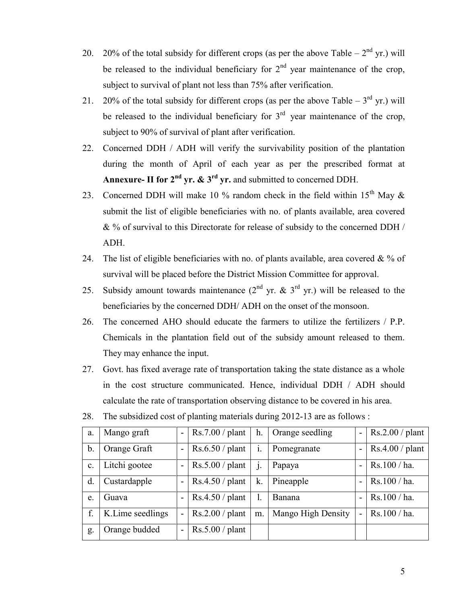- 20. 20% of the total subsidy for different crops (as per the above Table  $-2<sup>nd</sup>$  yr.) will be released to the individual beneficiary for  $2<sup>nd</sup>$  year maintenance of the crop, subject to survival of plant not less than 75% after verification.
- 21. 20% of the total subsidy for different crops (as per the above Table  $-3^{rd}$  yr.) will be released to the individual beneficiary for  $3<sup>rd</sup>$  year maintenance of the crop, subject to 90% of survival of plant after verification.
- 22. Concerned DDH / ADH will verify the survivability position of the plantation during the month of April of each year as per the prescribed format at **Annexure- II for 2nd yr. & 3rd yr.** and submitted to concerned DDH.
- 23. Concerned DDH will make 10 % random check in the field within 15<sup>th</sup> May  $\&$ submit the list of eligible beneficiaries with no. of plants available, area covered & % of survival to this Directorate for release of subsidy to the concerned DDH / ADH.
- 24. The list of eligible beneficiaries with no. of plants available, area covered  $\& \%$  of survival will be placed before the District Mission Committee for approval.
- 25. Subsidy amount towards maintenance  $(2^{nd}$  yr. & 3<sup>rd</sup> yr.) will be released to the beneficiaries by the concerned DDH/ ADH on the onset of the monsoon.
- 26. The concerned AHO should educate the farmers to utilize the fertilizers / P.P. Chemicals in the plantation field out of the subsidy amount released to them. They may enhance the input.
- 27. Govt. has fixed average rate of transportation taking the state distance as a whole in the cost structure communicated. Hence, individual DDH / ADH should calculate the rate of transportation observing distance to be covered in his area.

| a.             | Mango graft      | $Rs.7.00$ / plant | h.             | Orange seedling    | $\blacksquare$ | Rs.2.00/plant |
|----------------|------------------|-------------------|----------------|--------------------|----------------|---------------|
|                |                  |                   |                |                    |                |               |
| b.             | Orange Graft     | $Rs.6.50$ / plant | $\mathbf{1}$ . | Pomegranate        | $\blacksquare$ | Rs.4.00/plan  |
|                |                  |                   |                |                    |                |               |
| $\mathbf{c}$ . | Litchi gootee    | $Rs.5.00$ / plant |                | Papaya             | ۰              | Rs.100 / ha.  |
|                |                  |                   |                |                    |                |               |
| d.             | Custardapple     | $Rs.4.50$ / plant | k.             | Pineapple          | -              | Rs.100/ha.    |
|                |                  |                   |                |                    |                |               |
| e.             | Guava            | $Rs.4.50$ / plant |                | Banana             | $\blacksquare$ | Rs.100/ha.    |
|                |                  |                   |                |                    |                |               |
| f.             | K.Lime seedlings | $Rs.2.00$ / plant | m.             | Mango High Density | $\overline{a}$ | Rs.100 / ha.  |
|                |                  |                   |                |                    |                |               |
| g.             | Orange budded    | $Rs.5.00$ / plant |                |                    |                |               |
|                |                  |                   |                |                    |                |               |
|                |                  |                   |                |                    |                |               |

28. The subsidized cost of planting materials during 2012-13 are as follows :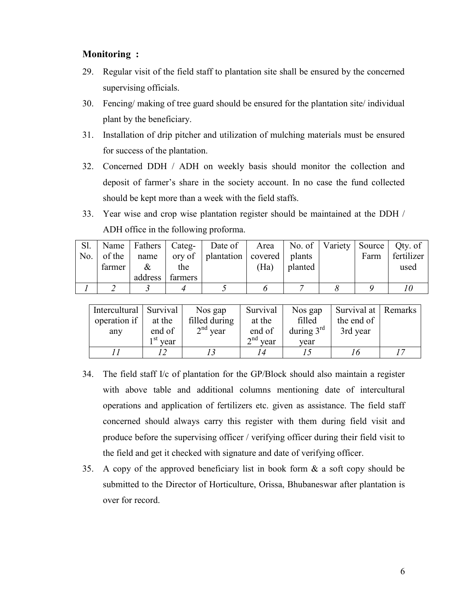#### **Monitoring :**

- 29. Regular visit of the field staff to plantation site shall be ensured by the concerned supervising officials.
- 30. Fencing/ making of tree guard should be ensured for the plantation site/ individual plant by the beneficiary.
- 31. Installation of drip pitcher and utilization of mulching materials must be ensured for success of the plantation.
- 32. Concerned DDH / ADH on weekly basis should monitor the collection and deposit of farmer's share in the society account. In no case the fund collected should be kept more than a week with the field staffs.
- 33. Year wise and crop wise plantation register should be maintained at the DDH / ADH office in the following proforma.

| Sl. |                    |      |                 | Name   Fathers   Categ-   Date of   Area   No. of   Variety   Source   Qty. of |      |         |      |            |
|-----|--------------------|------|-----------------|--------------------------------------------------------------------------------|------|---------|------|------------|
| No. | of the $\parallel$ | name |                 | $\vert$ ory of $\vert$ plantation $\vert$ covered $\vert$ plants               |      |         | Farm | fertilizer |
|     | farmer             | $\&$ | the             |                                                                                | (Ha) | planted |      | used       |
|     |                    |      | address farmers |                                                                                |      |         |      |            |
|     |                    |      |                 |                                                                                |      |         |      |            |

| Intercultural Survival |                              | Nos gap       | Survival                        | Nos gap      | Survival at Remarks |  |
|------------------------|------------------------------|---------------|---------------------------------|--------------|---------------------|--|
| operation if           | at the                       | filled during | at the                          | filled       | the end of          |  |
| any                    | end of                       | $2nd$ year    | end of                          | during $3rd$ | 3rd year            |  |
|                        | $\lambda$ <sup>st</sup> vear |               | $\mathbf{r}$ <sup>nd</sup> vear | vear         |                     |  |
|                        |                              |               |                                 |              | 16                  |  |

- 34. The field staff I/c of plantation for the GP/Block should also maintain a register with above table and additional columns mentioning date of intercultural operations and application of fertilizers etc. given as assistance. The field staff concerned should always carry this register with them during field visit and produce before the supervising officer / verifying officer during their field visit to the field and get it checked with signature and date of verifying officer.
- 35. A copy of the approved beneficiary list in book form & a soft copy should be submitted to the Director of Horticulture, Orissa, Bhubaneswar after plantation is over for record.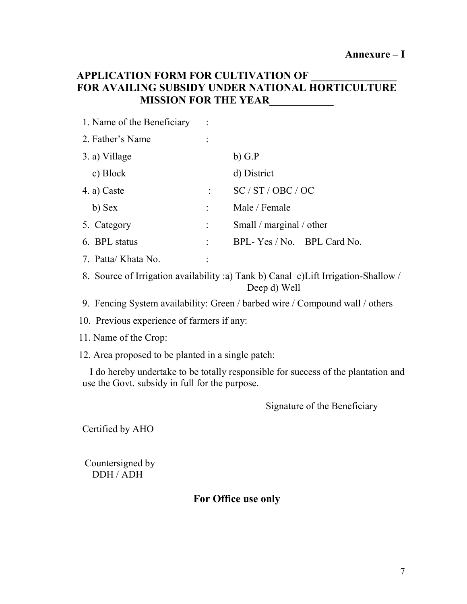# **APPLICATION FORM FOR CULTIVATION OF FOR AVAILING SUBSIDY UNDER NATIONAL HORTICULTURE MISSION FOR THE YEAR\_\_\_\_\_\_\_\_\_\_\_\_**

| 1. Name of the Beneficiary |                            |
|----------------------------|----------------------------|
| 2. Father's Name           |                            |
| 3. a) Village              | $b)$ G.P                   |
| c) Block                   | d) District                |
| 4. a) Caste                | SC/ST/OBC/OC               |
| b) Sex                     | Male / Female              |
| 5. Category                | Small / marginal / other   |
| 6. BPL status              | BPL-Yes / No. BPL Card No. |
| 7. Patta/Khata No.         |                            |

8. Source of Irrigation availability :a) Tank b) Canal c)Lift Irrigation-Shallow / Deep d) Well

9. Fencing System availability: Green / barbed wire / Compound wall / others

10. Previous experience of farmers if any:

11. Name of the Crop:

12. Area proposed to be planted in a single patch:

 I do hereby undertake to be totally responsible for success of the plantation and use the Govt. subsidy in full for the purpose.

Signature of the Beneficiary

Certified by AHO

Countersigned by DDH / ADH

# **For Office use only**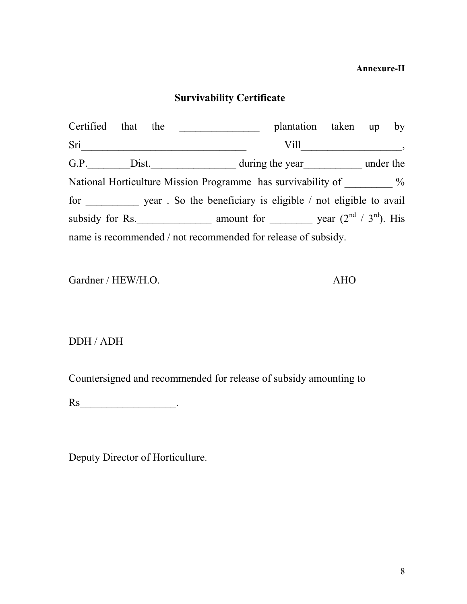### **Annexure-II**

# **Survivability Certificate**

| Certified that the                                            |  |  | plantation taken up by<br><u>and a strong starting</u>                                                                                                                                                                        |  |  |
|---------------------------------------------------------------|--|--|-------------------------------------------------------------------------------------------------------------------------------------------------------------------------------------------------------------------------------|--|--|
| Sri                                                           |  |  | Vill                                                                                                                                                                                                                          |  |  |
|                                                               |  |  | G.P. Dist. Dist. Under the sear and under the sear and under the sear and under the sear and under the search of the search of the search of the search of the search of the search of the search of the search of the search |  |  |
|                                                               |  |  | National Horticulture Mission Programme has survivability of $\%$                                                                                                                                                             |  |  |
|                                                               |  |  | for year. So the beneficiary is eligible / not eligible to avail                                                                                                                                                              |  |  |
|                                                               |  |  |                                                                                                                                                                                                                               |  |  |
| name is recommended / not recommended for release of subsidy. |  |  |                                                                                                                                                                                                                               |  |  |

Gardner / HEW/H.O. AHO

DDH / ADH

Countersigned and recommended for release of subsidy amounting to

Rs\_\_\_\_\_\_\_\_\_\_\_\_\_\_\_\_\_\_.

Deputy Director of Horticulture.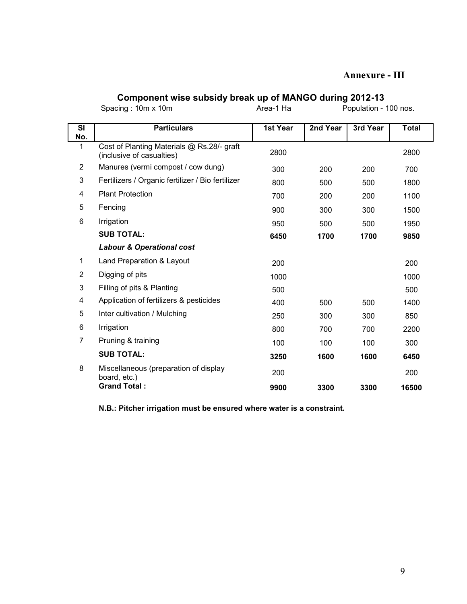#### **Annexure - III**

#### **Component wise subsidy break up of MANGO during 2012-13**

Spacing : 10m x 10m Area-1 Ha Population - 100 nos.

| <b>SI</b><br>No. | <b>Particulars</b>                                                      | 1st Year | 2nd Year | 3rd Year | <b>Total</b> |
|------------------|-------------------------------------------------------------------------|----------|----------|----------|--------------|
| 1                | Cost of Planting Materials @ Rs.28/- graft<br>(inclusive of casualties) | 2800     |          |          | 2800         |
| $\overline{2}$   | Manures (vermi compost / cow dung)                                      | 300      | 200      | 200      | 700          |
| 3                | Fertilizers / Organic fertilizer / Bio fertilizer                       | 800      | 500      | 500      | 1800         |
| 4                | <b>Plant Protection</b>                                                 | 700      | 200      | 200      | 1100         |
| 5                | Fencing                                                                 | 900      | 300      | 300      | 1500         |
| 6                | Irrigation                                                              | 950      | 500      | 500      | 1950         |
|                  | <b>SUB TOTAL:</b>                                                       | 6450     | 1700     | 1700     | 9850         |
|                  | <b>Labour &amp; Operational cost</b>                                    |          |          |          |              |
| 1                | Land Preparation & Layout                                               | 200      |          |          | 200          |
| $\overline{2}$   | Digging of pits                                                         | 1000     |          |          | 1000         |
| 3                | Filling of pits & Planting                                              | 500      |          |          | 500          |
| 4                | Application of fertilizers & pesticides                                 | 400      | 500      | 500      | 1400         |
| 5                | Inter cultivation / Mulching                                            | 250      | 300      | 300      | 850          |
| 6                | Irrigation                                                              | 800      | 700      | 700      | 2200         |
| 7                | Pruning & training                                                      | 100      | 100      | 100      | 300          |
|                  | <b>SUB TOTAL:</b>                                                       | 3250     | 1600     | 1600     | 6450         |
| 8                | Miscellaneous (preparation of display<br>board, etc.)                   | 200      |          |          | 200          |
|                  | <b>Grand Total:</b>                                                     | 9900     | 3300     | 3300     | 16500        |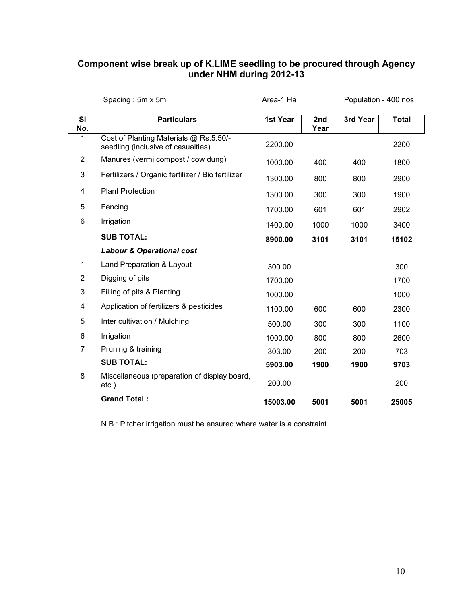#### **Component wise break up of K.LIME seedling to be procured through Agency under NHM during 2012-13**

|                  | Spacing: 5m x 5m                                                             | Area-1 Ha |             | Population - 400 nos. |              |
|------------------|------------------------------------------------------------------------------|-----------|-------------|-----------------------|--------------|
| <b>SI</b><br>No. | <b>Particulars</b>                                                           | 1st Year  | 2nd<br>Year | 3rd Year              | <b>Total</b> |
| 1                | Cost of Planting Materials @ Rs.5.50/-<br>seedling (inclusive of casualties) | 2200.00   |             |                       | 2200         |
| $\overline{2}$   | Manures (vermi compost / cow dung)                                           | 1000.00   | 400         | 400                   | 1800         |
| 3                | Fertilizers / Organic fertilizer / Bio fertilizer                            | 1300.00   | 800         | 800                   | 2900         |
| 4                | <b>Plant Protection</b>                                                      | 1300.00   | 300         | 300                   | 1900         |
| 5                | Fencing                                                                      | 1700.00   | 601         | 601                   | 2902         |
| 6                | Irrigation                                                                   | 1400.00   | 1000        | 1000                  | 3400         |
|                  | <b>SUB TOTAL:</b>                                                            | 8900.00   | 3101        | 3101                  | 15102        |
|                  | <b>Labour &amp; Operational cost</b>                                         |           |             |                       |              |
| 1                | Land Preparation & Layout                                                    | 300.00    |             |                       | 300          |
| $\overline{2}$   | Digging of pits                                                              | 1700.00   |             |                       | 1700         |
| 3                | Filling of pits & Planting                                                   | 1000.00   |             |                       | 1000         |
| 4                | Application of fertilizers & pesticides                                      | 1100.00   | 600         | 600                   | 2300         |
| 5                | Inter cultivation / Mulching                                                 | 500.00    | 300         | 300                   | 1100         |
| 6                | Irrigation                                                                   | 1000.00   | 800         | 800                   | 2600         |
| $\overline{7}$   | Pruning & training                                                           | 303.00    | 200         | 200                   | 703          |
|                  | <b>SUB TOTAL:</b>                                                            | 5903.00   | 1900        | 1900                  | 9703         |
| 8                | Miscellaneous (preparation of display board,<br>$etc.$ )                     | 200.00    |             |                       | 200          |
|                  | <b>Grand Total:</b>                                                          | 15003.00  | 5001        | 5001                  | 25005        |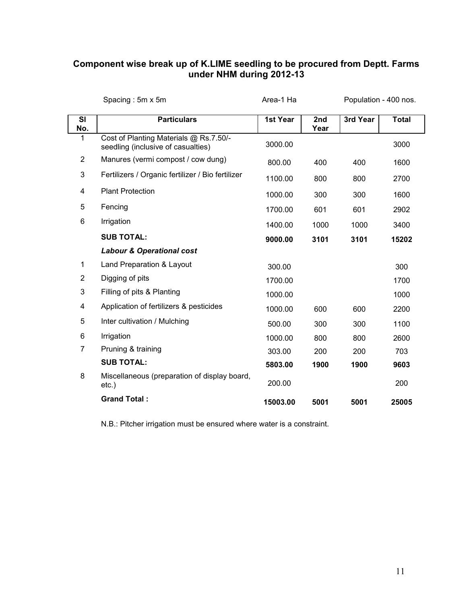#### **Component wise break up of K.LIME seedling to be procured from Deptt. Farms under NHM during 2012-13**

|                | Spacing: 5m x 5m                                                             | Area-1 Ha |             | Population - 400 nos. |              |
|----------------|------------------------------------------------------------------------------|-----------|-------------|-----------------------|--------------|
| SI<br>No.      | <b>Particulars</b>                                                           | 1st Year  | 2nd<br>Year | 3rd Year              | <b>Total</b> |
| 1              | Cost of Planting Materials @ Rs.7.50/-<br>seedling (inclusive of casualties) | 3000.00   |             |                       | 3000         |
| $\overline{2}$ | Manures (vermi compost / cow dung)                                           | 800.00    | 400         | 400                   | 1600         |
| $\mathbf{3}$   | Fertilizers / Organic fertilizer / Bio fertilizer                            | 1100.00   | 800         | 800                   | 2700         |
| 4              | <b>Plant Protection</b>                                                      | 1000.00   | 300         | 300                   | 1600         |
| 5              | Fencing                                                                      | 1700.00   | 601         | 601                   | 2902         |
| 6              | Irrigation                                                                   | 1400.00   | 1000        | 1000                  | 3400         |
|                | <b>SUB TOTAL:</b>                                                            | 9000.00   | 3101        | 3101                  | 15202        |
|                | <b>Labour &amp; Operational cost</b>                                         |           |             |                       |              |
| 1              | Land Preparation & Layout                                                    | 300.00    |             |                       | 300          |
| $\overline{2}$ | Digging of pits                                                              | 1700.00   |             |                       | 1700         |
| 3              | Filling of pits & Planting                                                   | 1000.00   |             |                       | 1000         |
| 4              | Application of fertilizers & pesticides                                      | 1000.00   | 600         | 600                   | 2200         |
| 5              | Inter cultivation / Mulching                                                 | 500.00    | 300         | 300                   | 1100         |
| 6              | Irrigation                                                                   | 1000.00   | 800         | 800                   | 2600         |
| $\overline{7}$ | Pruning & training                                                           | 303.00    | 200         | 200                   | 703          |
|                | <b>SUB TOTAL:</b>                                                            | 5803.00   | 1900        | 1900                  | 9603         |
| 8              | Miscellaneous (preparation of display board,<br>$etc.$ )                     | 200.00    |             |                       | 200          |
|                | <b>Grand Total:</b>                                                          | 15003.00  | 5001        | 5001                  | 25005        |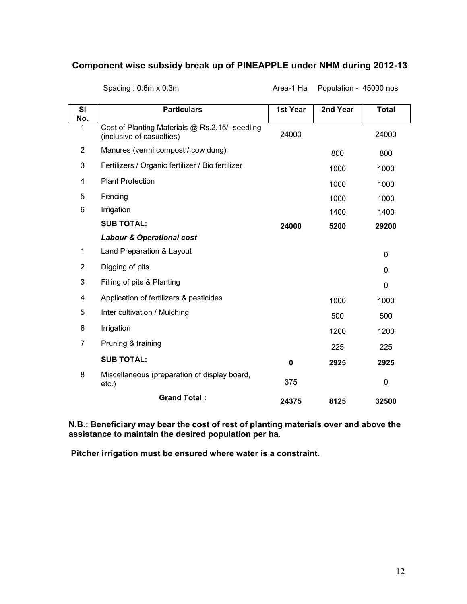#### **Component wise subsidy break up of PINEAPPLE under NHM during 2012-13**

| SI<br>No.      | <b>Particulars</b>                                                           | 1st Year | 2nd Year | <b>Total</b> |
|----------------|------------------------------------------------------------------------------|----------|----------|--------------|
| 1              | Cost of Planting Materials @ Rs.2.15/- seedling<br>(inclusive of casualties) | 24000    |          | 24000        |
| $\overline{2}$ | Manures (vermi compost / cow dung)                                           |          | 800      | 800          |
| 3              | Fertilizers / Organic fertilizer / Bio fertilizer                            |          | 1000     | 1000         |
| 4              | <b>Plant Protection</b>                                                      |          | 1000     | 1000         |
| 5              | Fencing                                                                      |          | 1000     | 1000         |
| 6              | Irrigation                                                                   |          | 1400     | 1400         |
|                | <b>SUB TOTAL:</b>                                                            | 24000    | 5200     | 29200        |
|                | <b>Labour &amp; Operational cost</b>                                         |          |          |              |
| $\mathbf{1}$   | Land Preparation & Layout                                                    |          |          | 0            |
| $\overline{2}$ | Digging of pits                                                              |          |          | 0            |
| 3              | Filling of pits & Planting                                                   |          |          | 0            |
| 4              | Application of fertilizers & pesticides                                      |          | 1000     | 1000         |
| 5              | Inter cultivation / Mulching                                                 |          | 500      | 500          |
| 6              | Irrigation                                                                   |          | 1200     | 1200         |
| 7              | Pruning & training                                                           |          | 225      | 225          |
|                | <b>SUB TOTAL:</b>                                                            | 0        | 2925     | 2925         |
| 8              | Miscellaneous (preparation of display board,<br>$etc.$ )                     | 375      |          | 0            |
|                | <b>Grand Total:</b>                                                          | 24375    | 8125     | 32500        |

Spacing : 0.6m x 0.3m <br>
Area-1 Ha Population - 45000 nos

**N.B.: Beneficiary may bear the cost of rest of planting materials over and above the assistance to maintain the desired population per ha.**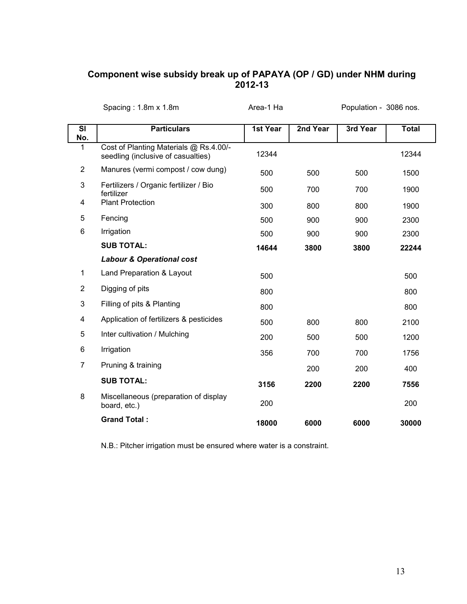#### **Component wise subsidy break up of PAPAYA (OP / GD) under NHM during 2012-13**

|                | Spacing: $1.8m \times 1.8m$                                                  | Area-1 Ha |          | Population - 3086 nos. |              |
|----------------|------------------------------------------------------------------------------|-----------|----------|------------------------|--------------|
| SI<br>No.      | <b>Particulars</b>                                                           | 1st Year  | 2nd Year | 3rd Year               | <b>Total</b> |
| 1              | Cost of Planting Materials @ Rs.4.00/-<br>seedling (inclusive of casualties) | 12344     |          |                        | 12344        |
| $\overline{2}$ | Manures (vermi compost / cow dung)                                           | 500       | 500      | 500                    | 1500         |
| 3              | Fertilizers / Organic fertilizer / Bio<br>fertilizer                         | 500       | 700      | 700                    | 1900         |
| 4              | <b>Plant Protection</b>                                                      | 300       | 800      | 800                    | 1900         |
| 5              | Fencing                                                                      | 500       | 900      | 900                    | 2300         |
| 6              | Irrigation                                                                   | 500       | 900      | 900                    | 2300         |
|                | <b>SUB TOTAL:</b>                                                            | 14644     | 3800     | 3800                   | 22244        |
|                | <b>Labour &amp; Operational cost</b>                                         |           |          |                        |              |
| $\mathbf{1}$   | Land Preparation & Layout                                                    | 500       |          |                        | 500          |
| $\overline{2}$ | Digging of pits                                                              | 800       |          |                        | 800          |
| $\mathbf{3}$   | Filling of pits & Planting                                                   | 800       |          |                        | 800          |
| 4              | Application of fertilizers & pesticides                                      | 500       | 800      | 800                    | 2100         |
| 5              | Inter cultivation / Mulching                                                 | 200       | 500      | 500                    | 1200         |
| 6              | Irrigation                                                                   | 356       | 700      | 700                    | 1756         |
| $\overline{7}$ | Pruning & training                                                           |           | 200      | 200                    | 400          |
|                | <b>SUB TOTAL:</b>                                                            | 3156      | 2200     | 2200                   | 7556         |
| 8              | Miscellaneous (preparation of display<br>board, etc.)                        | 200       |          |                        | 200          |
|                | <b>Grand Total:</b>                                                          | 18000     | 6000     | 6000                   | 30000        |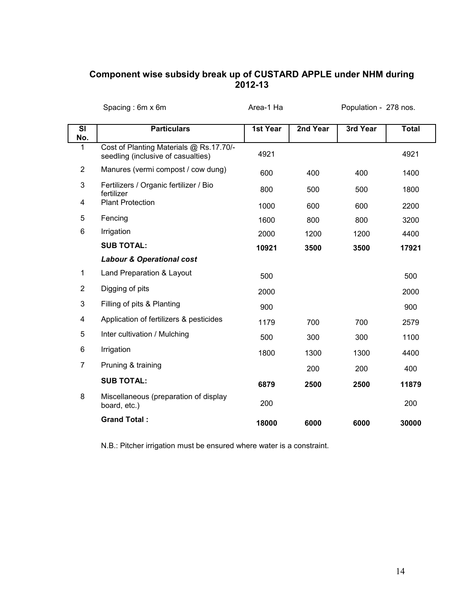#### **Component wise subsidy break up of CUSTARD APPLE under NHM during 2012-13**

|                | Spacing: $6m \times 6m$                                                       | Area-1 Ha |          | Population - 278 nos. |              |
|----------------|-------------------------------------------------------------------------------|-----------|----------|-----------------------|--------------|
| SI<br>No.      | <b>Particulars</b>                                                            | 1st Year  | 2nd Year | 3rd Year              | <b>Total</b> |
| 1              | Cost of Planting Materials @ Rs.17.70/-<br>seedling (inclusive of casualties) | 4921      |          |                       | 4921         |
| $\overline{2}$ | Manures (vermi compost / cow dung)                                            | 600       | 400      | 400                   | 1400         |
| 3              | Fertilizers / Organic fertilizer / Bio<br>fertilizer                          | 800       | 500      | 500                   | 1800         |
| 4              | <b>Plant Protection</b>                                                       | 1000      | 600      | 600                   | 2200         |
| 5              | Fencing                                                                       | 1600      | 800      | 800                   | 3200         |
| 6              | Irrigation                                                                    | 2000      | 1200     | 1200                  | 4400         |
|                | <b>SUB TOTAL:</b>                                                             | 10921     | 3500     | 3500                  | 17921        |
|                | <b>Labour &amp; Operational cost</b>                                          |           |          |                       |              |
| $\mathbf{1}$   | Land Preparation & Layout                                                     | 500       |          |                       | 500          |
| $\overline{2}$ | Digging of pits                                                               | 2000      |          |                       | 2000         |
| 3              | Filling of pits & Planting                                                    | 900       |          |                       | 900          |
| 4              | Application of fertilizers & pesticides                                       | 1179      | 700      | 700                   | 2579         |
| 5              | Inter cultivation / Mulching                                                  | 500       | 300      | 300                   | 1100         |
| 6              | Irrigation                                                                    | 1800      | 1300     | 1300                  | 4400         |
| $\overline{7}$ | Pruning & training                                                            |           | 200      | 200                   | 400          |
|                | <b>SUB TOTAL:</b>                                                             | 6879      | 2500     | 2500                  | 11879        |
| 8              | Miscellaneous (preparation of display<br>board, etc.)                         | 200       |          |                       | 200          |
|                | <b>Grand Total:</b>                                                           | 18000     | 6000     | 6000                  | 30000        |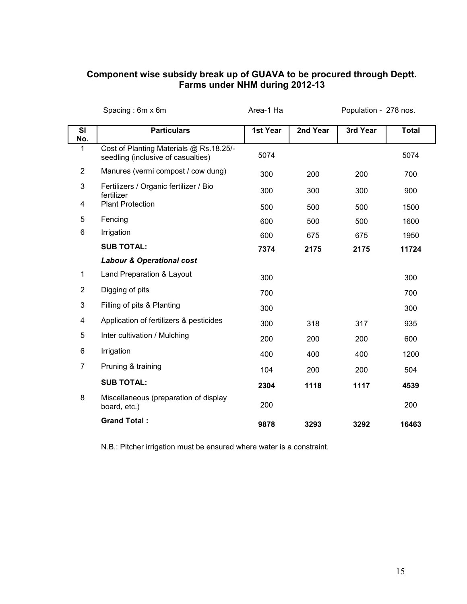#### **Component wise subsidy break up of GUAVA to be procured through Deptt. Farms under NHM during 2012-13**

|                  | Spacing: 6m x 6m                                                              | Area-1 Ha |          | Population - 278 nos. |              |
|------------------|-------------------------------------------------------------------------------|-----------|----------|-----------------------|--------------|
| <b>SI</b><br>No. | <b>Particulars</b>                                                            | 1st Year  | 2nd Year | 3rd Year              | <b>Total</b> |
| 1                | Cost of Planting Materials @ Rs.18.25/-<br>seedling (inclusive of casualties) | 5074      |          |                       | 5074         |
| $\overline{2}$   | Manures (vermi compost / cow dung)                                            | 300       | 200      | 200                   | 700          |
| 3                | Fertilizers / Organic fertilizer / Bio<br>fertilizer                          | 300       | 300      | 300                   | 900          |
| 4                | <b>Plant Protection</b>                                                       | 500       | 500      | 500                   | 1500         |
| 5                | Fencing                                                                       | 600       | 500      | 500                   | 1600         |
| 6                | Irrigation                                                                    | 600       | 675      | 675                   | 1950         |
|                  | <b>SUB TOTAL:</b>                                                             | 7374      | 2175     | 2175                  | 11724        |
|                  | <b>Labour &amp; Operational cost</b>                                          |           |          |                       |              |
| $\mathbf{1}$     | Land Preparation & Layout                                                     | 300       |          |                       | 300          |
| $\overline{2}$   | Digging of pits                                                               | 700       |          |                       | 700          |
| $\mathbf{3}$     | Filling of pits & Planting                                                    | 300       |          |                       | 300          |
| 4                | Application of fertilizers & pesticides                                       | 300       | 318      | 317                   | 935          |
| 5                | Inter cultivation / Mulching                                                  | 200       | 200      | 200                   | 600          |
| 6                | Irrigation                                                                    | 400       | 400      | 400                   | 1200         |
| $\overline{7}$   | Pruning & training                                                            | 104       | 200      | 200                   | 504          |
|                  | <b>SUB TOTAL:</b>                                                             | 2304      | 1118     | 1117                  | 4539         |
| 8                | Miscellaneous (preparation of display<br>board, etc.)                         | 200       |          |                       | 200          |
|                  | <b>Grand Total:</b>                                                           | 9878      | 3293     | 3292                  | 16463        |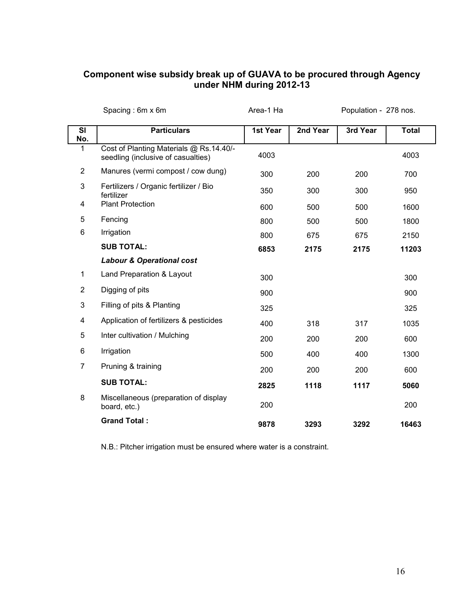#### **Component wise subsidy break up of GUAVA to be procured through Agency under NHM during 2012-13**

|                | Spacing: 6m x 6m                                                              | Area-1 Ha |          | Population - 278 nos. |              |
|----------------|-------------------------------------------------------------------------------|-----------|----------|-----------------------|--------------|
| SI<br>No.      | <b>Particulars</b>                                                            | 1st Year  | 2nd Year | 3rd Year              | <b>Total</b> |
| 1              | Cost of Planting Materials @ Rs.14.40/-<br>seedling (inclusive of casualties) | 4003      |          |                       | 4003         |
| $\overline{2}$ | Manures (vermi compost / cow dung)                                            | 300       | 200      | 200                   | 700          |
| 3              | Fertilizers / Organic fertilizer / Bio<br>fertilizer                          | 350       | 300      | 300                   | 950          |
| 4              | <b>Plant Protection</b>                                                       | 600       | 500      | 500                   | 1600         |
| 5              | Fencing                                                                       | 800       | 500      | 500                   | 1800         |
| 6              | Irrigation                                                                    | 800       | 675      | 675                   | 2150         |
|                | <b>SUB TOTAL:</b>                                                             | 6853      | 2175     | 2175                  | 11203        |
|                | <b>Labour &amp; Operational cost</b>                                          |           |          |                       |              |
| $\mathbf{1}$   | Land Preparation & Layout                                                     | 300       |          |                       | 300          |
| $\overline{2}$ | Digging of pits                                                               | 900       |          |                       | 900          |
| $\mathbf{3}$   | Filling of pits & Planting                                                    | 325       |          |                       | 325          |
| 4              | Application of fertilizers & pesticides                                       | 400       | 318      | 317                   | 1035         |
| 5              | Inter cultivation / Mulching                                                  | 200       | 200      | 200                   | 600          |
| 6              | Irrigation                                                                    | 500       | 400      | 400                   | 1300         |
| $\overline{7}$ | Pruning & training                                                            | 200       | 200      | 200                   | 600          |
|                | <b>SUB TOTAL:</b>                                                             | 2825      | 1118     | 1117                  | 5060         |
| 8              | Miscellaneous (preparation of display<br>board, etc.)                         | 200       |          |                       | 200          |
|                | <b>Grand Total:</b>                                                           | 9878      | 3293     | 3292                  | 16463        |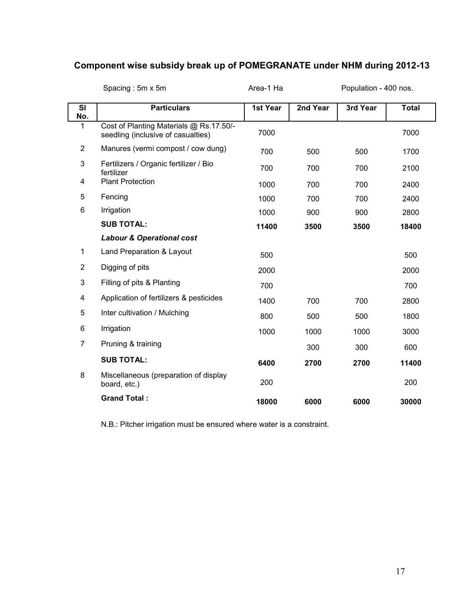# **Component wise subsidy break up of POMEGRANATE under NHM during 2012-13**

|                  | Spacing: 5m x 5m                                                              | Area-1 Ha |          | Population - 400 nos. |              |
|------------------|-------------------------------------------------------------------------------|-----------|----------|-----------------------|--------------|
| <b>SI</b><br>No. | <b>Particulars</b>                                                            | 1st Year  | 2nd Year | 3rd Year              | <b>Total</b> |
| 1                | Cost of Planting Materials @ Rs.17.50/-<br>seedling (inclusive of casualties) | 7000      |          |                       | 7000         |
| $\overline{2}$   | Manures (vermi compost / cow dung)                                            | 700       | 500      | 500                   | 1700         |
| 3                | Fertilizers / Organic fertilizer / Bio<br>fertilizer                          | 700       | 700      | 700                   | 2100         |
| 4                | <b>Plant Protection</b>                                                       | 1000      | 700      | 700                   | 2400         |
| 5                | Fencing                                                                       | 1000      | 700      | 700                   | 2400         |
| 6                | Irrigation                                                                    | 1000      | 900      | 900                   | 2800         |
|                  | <b>SUB TOTAL:</b>                                                             | 11400     | 3500     | 3500                  | 18400        |
|                  | <b>Labour &amp; Operational cost</b>                                          |           |          |                       |              |
| 1                | Land Preparation & Layout                                                     | 500       |          |                       | 500          |
| $\overline{2}$   | Digging of pits                                                               | 2000      |          |                       | 2000         |
| 3                | Filling of pits & Planting                                                    | 700       |          |                       | 700          |
| 4                | Application of fertilizers & pesticides                                       | 1400      | 700      | 700                   | 2800         |
| 5                | Inter cultivation / Mulching                                                  | 800       | 500      | 500                   | 1800         |
| 6                | Irrigation                                                                    | 1000      | 1000     | 1000                  | 3000         |
| 7                | Pruning & training                                                            |           | 300      | 300                   | 600          |
|                  | <b>SUB TOTAL:</b>                                                             | 6400      | 2700     | 2700                  | 11400        |
| 8                | Miscellaneous (preparation of display<br>board, etc.)                         | 200       |          |                       | 200          |
|                  | <b>Grand Total:</b>                                                           | 18000     | 6000     | 6000                  | 30000        |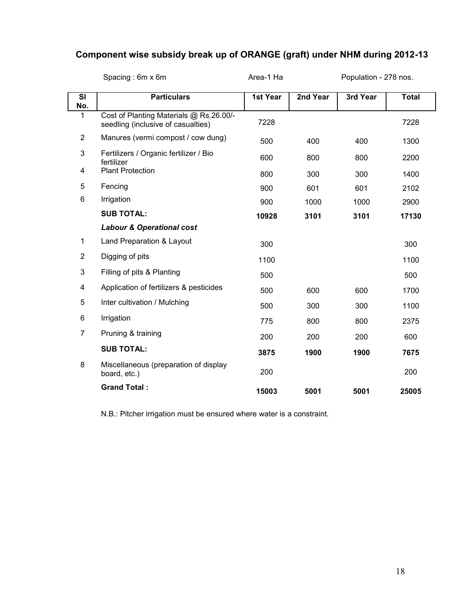# **Component wise subsidy break up of ORANGE (graft) under NHM during 2012-13**

|                | Spacing: 6m x 6m                                                              | Area-1 Ha |          | Population - 278 nos. |              |
|----------------|-------------------------------------------------------------------------------|-----------|----------|-----------------------|--------------|
| SI<br>No.      | <b>Particulars</b>                                                            | 1st Year  | 2nd Year | 3rd Year              | <b>Total</b> |
| 1              | Cost of Planting Materials @ Rs.26.00/-<br>seedling (inclusive of casualties) | 7228      |          |                       | 7228         |
| $\overline{2}$ | Manures (vermi compost / cow dung)                                            | 500       | 400      | 400                   | 1300         |
| 3              | Fertilizers / Organic fertilizer / Bio<br>fertilizer                          | 600       | 800      | 800                   | 2200         |
| 4              | <b>Plant Protection</b>                                                       | 800       | 300      | 300                   | 1400         |
| 5              | Fencing                                                                       | 900       | 601      | 601                   | 2102         |
| 6              | Irrigation                                                                    | 900       | 1000     | 1000                  | 2900         |
|                | <b>SUB TOTAL:</b>                                                             | 10928     | 3101     | 3101                  | 17130        |
|                | <b>Labour &amp; Operational cost</b>                                          |           |          |                       |              |
| 1              | Land Preparation & Layout                                                     | 300       |          |                       | 300          |
| $\overline{2}$ | Digging of pits                                                               | 1100      |          |                       | 1100         |
| 3              | Filling of pits & Planting                                                    | 500       |          |                       | 500          |
| 4              | Application of fertilizers & pesticides                                       | 500       | 600      | 600                   | 1700         |
| 5              | Inter cultivation / Mulching                                                  | 500       | 300      | 300                   | 1100         |
| 6              | Irrigation                                                                    | 775       | 800      | 800                   | 2375         |
| 7              | Pruning & training                                                            | 200       | 200      | 200                   | 600          |
|                | <b>SUB TOTAL:</b>                                                             | 3875      | 1900     | 1900                  | 7675         |
| 8              | Miscellaneous (preparation of display<br>board, etc.)                         | 200       |          |                       | 200          |
|                | <b>Grand Total:</b>                                                           | 15003     | 5001     | 5001                  | 25005        |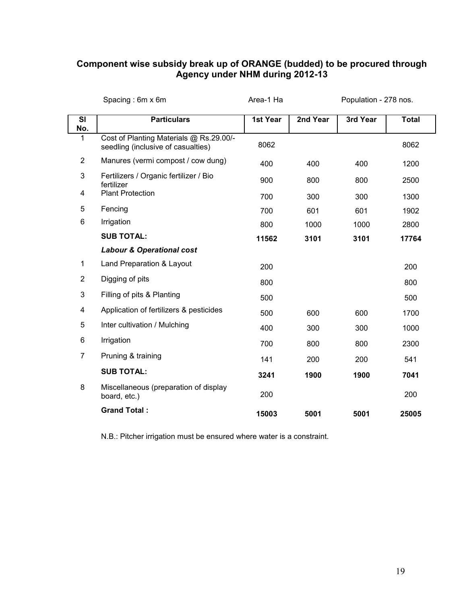#### **Component wise subsidy break up of ORANGE (budded) to be procured through Agency under NHM during 2012-13**

|                | Spacing: 6m x 6m                                                              | Area-1 Ha |          | Population - 278 nos. |              |
|----------------|-------------------------------------------------------------------------------|-----------|----------|-----------------------|--------------|
| SI<br>No.      | <b>Particulars</b>                                                            | 1st Year  | 2nd Year | 3rd Year              | <b>Total</b> |
| 1              | Cost of Planting Materials @ Rs.29.00/-<br>seedling (inclusive of casualties) | 8062      |          |                       | 8062         |
| $\overline{2}$ | Manures (vermi compost / cow dung)                                            | 400       | 400      | 400                   | 1200         |
| 3              | Fertilizers / Organic fertilizer / Bio<br>fertilizer                          | 900       | 800      | 800                   | 2500         |
| 4              | <b>Plant Protection</b>                                                       | 700       | 300      | 300                   | 1300         |
| 5              | Fencing                                                                       | 700       | 601      | 601                   | 1902         |
| 6              | Irrigation                                                                    | 800       | 1000     | 1000                  | 2800         |
|                | <b>SUB TOTAL:</b>                                                             | 11562     | 3101     | 3101                  | 17764        |
|                | <b>Labour &amp; Operational cost</b>                                          |           |          |                       |              |
| 1              | Land Preparation & Layout                                                     | 200       |          |                       | 200          |
| $\overline{2}$ | Digging of pits                                                               | 800       |          |                       | 800          |
| 3              | Filling of pits & Planting                                                    | 500       |          |                       | 500          |
| 4              | Application of fertilizers & pesticides                                       | 500       | 600      | 600                   | 1700         |
| 5              | Inter cultivation / Mulching                                                  | 400       | 300      | 300                   | 1000         |
| 6              | Irrigation                                                                    | 700       | 800      | 800                   | 2300         |
| 7              | Pruning & training                                                            | 141       | 200      | 200                   | 541          |
|                | <b>SUB TOTAL:</b>                                                             | 3241      | 1900     | 1900                  | 7041         |
| 8              | Miscellaneous (preparation of display<br>board, etc.)                         | 200       |          |                       | 200          |
|                | <b>Grand Total:</b>                                                           | 15003     | 5001     | 5001                  | 25005        |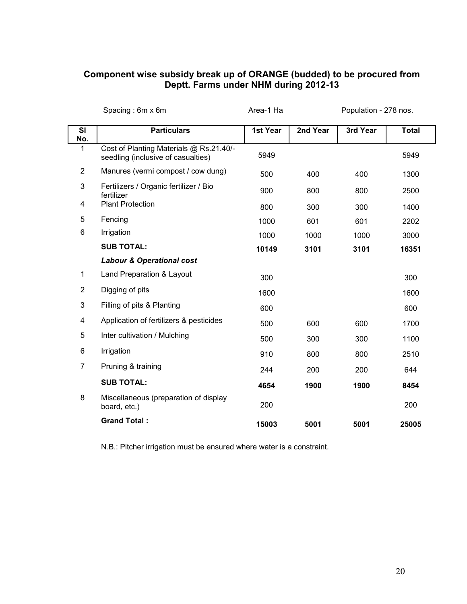#### **Component wise subsidy break up of ORANGE (budded) to be procured from Deptt. Farms under NHM during 2012-13**

|                 | Spacing: 6m x 6m                                                              | Area-1 Ha |          | Population - 278 nos. |              |
|-----------------|-------------------------------------------------------------------------------|-----------|----------|-----------------------|--------------|
| SI<br>No.       | <b>Particulars</b>                                                            | 1st Year  | 2nd Year | 3rd Year              | <b>Total</b> |
| 1               | Cost of Planting Materials @ Rs.21.40/-<br>seedling (inclusive of casualties) | 5949      |          |                       | 5949         |
| $\overline{2}$  | Manures (vermi compost / cow dung)                                            | 500       | 400      | 400                   | 1300         |
| 3               | Fertilizers / Organic fertilizer / Bio<br>fertilizer                          | 900       | 800      | 800                   | 2500         |
| 4               | <b>Plant Protection</b>                                                       | 800       | 300      | 300                   | 1400         |
| 5               | Fencing                                                                       | 1000      | 601      | 601                   | 2202         |
| $6\phantom{1}6$ | Irrigation                                                                    | 1000      | 1000     | 1000                  | 3000         |
|                 | <b>SUB TOTAL:</b>                                                             | 10149     | 3101     | 3101                  | 16351        |
|                 | <b>Labour &amp; Operational cost</b>                                          |           |          |                       |              |
| $\mathbf{1}$    | Land Preparation & Layout                                                     | 300       |          |                       | 300          |
| $\overline{2}$  | Digging of pits                                                               | 1600      |          |                       | 1600         |
| $\mathbf{3}$    | Filling of pits & Planting                                                    | 600       |          |                       | 600          |
| 4               | Application of fertilizers & pesticides                                       | 500       | 600      | 600                   | 1700         |
| 5               | Inter cultivation / Mulching                                                  | 500       | 300      | 300                   | 1100         |
| 6               | Irrigation                                                                    | 910       | 800      | 800                   | 2510         |
| $\overline{7}$  | Pruning & training                                                            | 244       | 200      | 200                   | 644          |
|                 | <b>SUB TOTAL:</b>                                                             | 4654      | 1900     | 1900                  | 8454         |
| 8               | Miscellaneous (preparation of display<br>board, etc.)                         | 200       |          |                       | 200          |
|                 | <b>Grand Total:</b>                                                           | 15003     | 5001     | 5001                  | 25005        |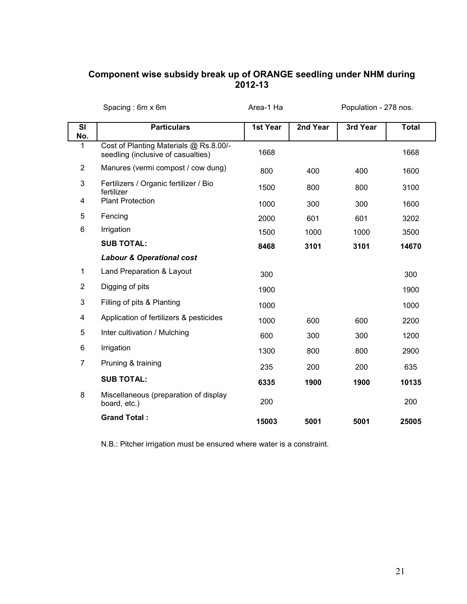#### **Component wise subsidy break up of ORANGE seedling under NHM during 2012-13**

|                | Spacing: 6m x 6m                                                             | Area-1 Ha |          | Population - 278 nos. |              |  |
|----------------|------------------------------------------------------------------------------|-----------|----------|-----------------------|--------------|--|
| SI<br>No.      | <b>Particulars</b>                                                           | 1st Year  | 2nd Year | 3rd Year              | <b>Total</b> |  |
| 1              | Cost of Planting Materials @ Rs.8.00/-<br>seedling (inclusive of casualties) | 1668      |          |                       | 1668         |  |
| $\overline{2}$ | Manures (vermi compost / cow dung)                                           | 800       | 400      | 400                   | 1600         |  |
| $\mathbf{3}$   | Fertilizers / Organic fertilizer / Bio<br>fertilizer                         | 1500      | 800      | 800                   | 3100         |  |
| 4              | <b>Plant Protection</b>                                                      | 1000      | 300      | 300                   | 1600         |  |
| 5              | Fencing                                                                      | 2000      | 601      | 601                   | 3202         |  |
| 6              | Irrigation                                                                   | 1500      | 1000     | 1000                  | 3500         |  |
|                | <b>SUB TOTAL:</b>                                                            | 8468      | 3101     | 3101                  | 14670        |  |
|                | <b>Labour &amp; Operational cost</b>                                         |           |          |                       |              |  |
| $\mathbf{1}$   | Land Preparation & Layout                                                    | 300       |          |                       | 300          |  |
| $\overline{2}$ | Digging of pits                                                              | 1900      |          |                       |              |  |
| 3              | Filling of pits & Planting                                                   | 1000      |          |                       | 1000         |  |
| 4              | Application of fertilizers & pesticides                                      | 1000      | 600      | 600                   | 2200         |  |
| 5              | Inter cultivation / Mulching                                                 | 600       | 300      | 300                   | 1200         |  |
| 6              | Irrigation                                                                   | 1300      | 800      | 800                   | 2900         |  |
| $\overline{7}$ | Pruning & training                                                           | 235       | 200      | 200                   | 635          |  |
|                | <b>SUB TOTAL:</b>                                                            | 6335      | 1900     | 1900                  | 10135        |  |
| 8              | Miscellaneous (preparation of display<br>board, etc.)                        | 200       |          |                       | 200          |  |
|                | <b>Grand Total:</b>                                                          | 15003     | 5001     | 5001                  | 25005        |  |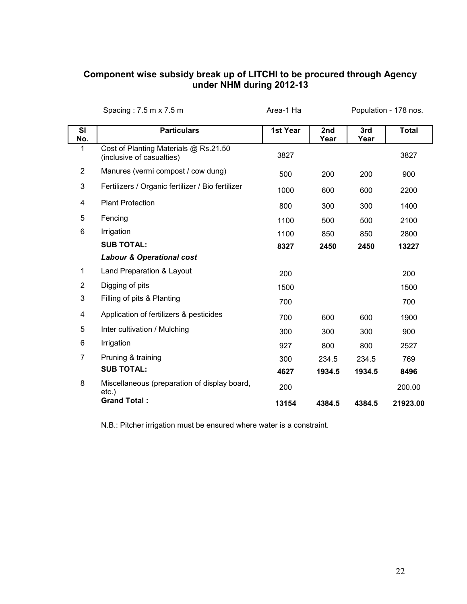#### **Component wise subsidy break up of LITCHI to be procured through Agency under NHM during 2012-13**

|                 | Spacing: 7.5 m x 7.5 m                                             | Area-1 Ha |             |             | Population - 178 nos. |
|-----------------|--------------------------------------------------------------------|-----------|-------------|-------------|-----------------------|
| SI<br>No.       | <b>Particulars</b>                                                 | 1st Year  | 2nd<br>Year | 3rd<br>Year | <b>Total</b>          |
| 1               | Cost of Planting Materials @ Rs.21.50<br>(inclusive of casualties) | 3827      |             |             | 3827                  |
| $\overline{2}$  | Manures (vermi compost / cow dung)                                 | 500       | 200         | 200         | 900                   |
| 3               | Fertilizers / Organic fertilizer / Bio fertilizer                  | 1000      | 600         | 600         | 2200                  |
| 4               | <b>Plant Protection</b>                                            | 800       | 300         | 300         | 1400                  |
| 5               | Fencing                                                            | 1100      | 500         | 500         | 2100                  |
| $6\phantom{1}6$ | Irrigation                                                         | 1100      | 850         | 850         | 2800                  |
|                 | <b>SUB TOTAL:</b>                                                  | 8327      | 2450        | 2450        | 13227                 |
|                 | <b>Labour &amp; Operational cost</b>                               |           |             |             |                       |
| 1               | Land Preparation & Layout                                          | 200       |             |             | 200                   |
| $\overline{2}$  | Digging of pits                                                    | 1500      |             |             | 1500                  |
| $\mathbf{3}$    | Filling of pits & Planting                                         | 700       |             |             | 700                   |
| 4               | Application of fertilizers & pesticides                            | 700       | 600         | 600         | 1900                  |
| 5               | Inter cultivation / Mulching                                       | 300       | 300         | 300         | 900                   |
| 6               | Irrigation                                                         | 927       | 800         | 800         | 2527                  |
| $\overline{7}$  | Pruning & training                                                 | 300       | 234.5       | 234.5       | 769                   |
|                 | <b>SUB TOTAL:</b>                                                  | 4627      | 1934.5      | 1934.5      | 8496                  |
| 8               | Miscellaneous (preparation of display board,<br>$etc.$ )           | 200       |             |             | 200.00                |
|                 | <b>Grand Total:</b>                                                | 13154     | 4384.5      | 4384.5      | 21923.00              |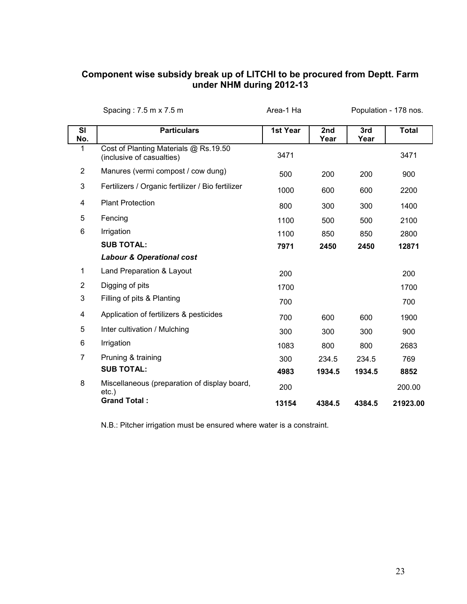#### **Component wise subsidy break up of LITCHI to be procured from Deptt. Farm under NHM during 2012-13**

|                | Spacing: 7.5 m x 7.5 m                                             | Area-1 Ha |             |             | Population - 178 nos. |
|----------------|--------------------------------------------------------------------|-----------|-------------|-------------|-----------------------|
| SI<br>No.      | <b>Particulars</b>                                                 | 1st Year  | 2nd<br>Year | 3rd<br>Year | <b>Total</b>          |
| 1              | Cost of Planting Materials @ Rs.19.50<br>(inclusive of casualties) | 3471      |             |             | 3471                  |
| $\overline{2}$ | Manures (vermi compost / cow dung)                                 | 500       | 200         | 200         | 900                   |
| 3              | Fertilizers / Organic fertilizer / Bio fertilizer                  | 1000      | 600         | 600         | 2200                  |
| 4              | <b>Plant Protection</b>                                            | 800       | 300         | 300         | 1400                  |
| 5              | Fencing                                                            | 1100      | 500         | 500         | 2100                  |
| 6              | Irrigation                                                         | 1100      | 850         | 850         | 2800                  |
|                | <b>SUB TOTAL:</b>                                                  | 7971      | 2450        | 2450        | 12871                 |
|                | <b>Labour &amp; Operational cost</b>                               |           |             |             |                       |
| 1              | Land Preparation & Layout                                          | 200       |             |             | 200                   |
| $\overline{2}$ | Digging of pits                                                    | 1700      |             |             | 1700                  |
| 3              | Filling of pits & Planting                                         | 700       |             |             | 700                   |
| 4              | Application of fertilizers & pesticides                            | 700       | 600         | 600         | 1900                  |
| 5              | Inter cultivation / Mulching                                       | 300       | 300         | 300         | 900                   |
| 6              | Irrigation                                                         | 1083      | 800         | 800         | 2683                  |
| $\overline{7}$ | Pruning & training                                                 | 300       | 234.5       | 234.5       | 769                   |
|                | <b>SUB TOTAL:</b>                                                  | 4983      | 1934.5      | 1934.5      | 8852                  |
| 8              | Miscellaneous (preparation of display board,<br>$etc.$ )           | 200       |             |             | 200.00                |
|                | <b>Grand Total:</b>                                                | 13154     | 4384.5      | 4384.5      | 21923.00              |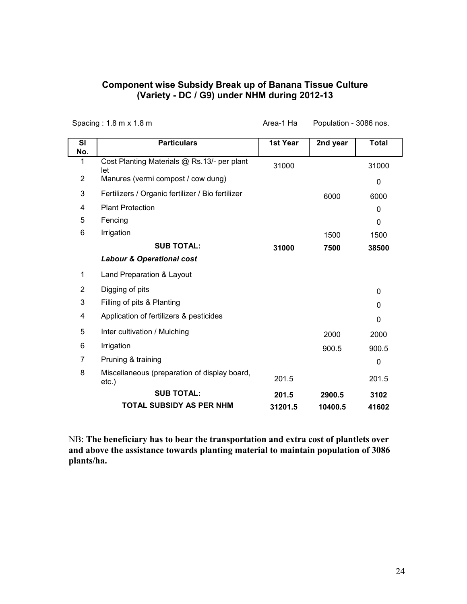#### **Component wise Subsidy Break up of Banana Tissue Culture (Variety - DC / G9) under NHM during 2012-13**

|                  | Spacing: 1.8 m x 1.8 m                                   | Area-1 Ha | Population - 3086 nos. |              |
|------------------|----------------------------------------------------------|-----------|------------------------|--------------|
| <b>SI</b><br>No. | <b>Particulars</b>                                       | 1st Year  | 2nd year               | <b>Total</b> |
| 1                | Cost Planting Materials @ Rs.13/- per plant<br>let       | 31000     |                        | 31000        |
| $\overline{2}$   | Manures (vermi compost / cow dung)                       |           |                        | 0            |
| 3                | Fertilizers / Organic fertilizer / Bio fertilizer        |           | 6000                   | 6000         |
| 4                | <b>Plant Protection</b>                                  |           |                        | 0            |
| 5                | Fencing                                                  |           |                        | $\mathbf 0$  |
| 6                | Irrigation                                               |           | 1500                   | 1500         |
|                  | <b>SUB TOTAL:</b>                                        | 31000     | 7500                   | 38500        |
|                  | <b>Labour &amp; Operational cost</b>                     |           |                        |              |
| 1                | Land Preparation & Layout                                |           |                        |              |
| $\overline{2}$   | Digging of pits                                          |           |                        | 0            |
| 3                | Filling of pits & Planting                               |           |                        | 0            |
| 4                | Application of fertilizers & pesticides                  |           |                        | 0            |
| 5                | Inter cultivation / Mulching                             |           | 2000                   | 2000         |
| 6                | Irrigation                                               |           | 900.5                  | 900.5        |
| 7                | Pruning & training                                       |           |                        | 0            |
| 8                | Miscellaneous (preparation of display board,<br>$etc.$ ) | 201.5     |                        | 201.5        |
|                  | <b>SUB TOTAL:</b>                                        | 201.5     | 2900.5                 | 3102         |
|                  | <b>TOTAL SUBSIDY AS PER NHM</b>                          | 31201.5   | 10400.5                | 41602        |

NB: **The beneficiary has to bear the transportation and extra cost of plantlets over and above the assistance towards planting material to maintain population of 3086 plants/ha.**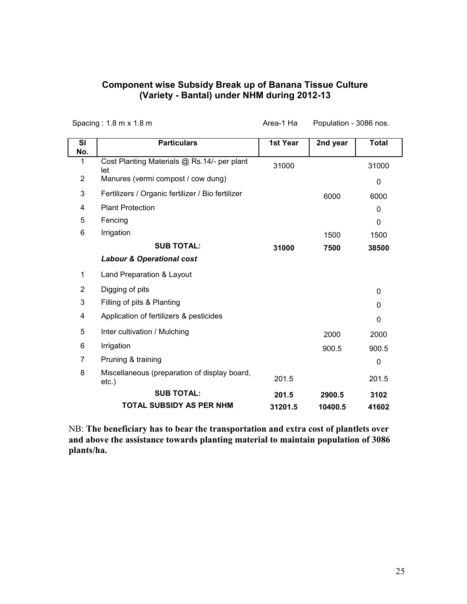#### **Component wise Subsidy Break up of Banana Tissue Culture (Variety - Bantal) under NHM during 2012-13**

|                  | Spacing: 1.8 m x 1.8 m                                | Area-1 Ha | Population - 3086 nos. |              |
|------------------|-------------------------------------------------------|-----------|------------------------|--------------|
| <b>SI</b><br>No. | <b>Particulars</b>                                    | 1st Year  | 2nd year               | <b>Total</b> |
| 1                | Cost Planting Materials @ Rs.14/- per plant<br>let    | 31000     |                        | 31000        |
| 2                | Manures (vermi compost / cow dung)                    |           |                        | 0            |
| 3                | Fertilizers / Organic fertilizer / Bio fertilizer     |           | 6000                   | 6000         |
| 4                | <b>Plant Protection</b>                               |           |                        | $\mathbf{0}$ |
| 5                | Fencing                                               |           |                        | $\mathbf 0$  |
| 6                | Irrigation                                            |           | 1500                   | 1500         |
|                  | <b>SUB TOTAL:</b>                                     | 31000     | 7500                   | 38500        |
|                  | <b>Labour &amp; Operational cost</b>                  |           |                        |              |
| 1                | Land Preparation & Layout                             |           |                        |              |
| $\overline{2}$   | Digging of pits                                       |           |                        | 0            |
| 3                | Filling of pits & Planting                            |           |                        | 0            |
| 4                | Application of fertilizers & pesticides               |           |                        | 0            |
| 5                | Inter cultivation / Mulching                          |           | 2000                   | 2000         |
| 6                | Irrigation                                            |           | 900.5                  | 900.5        |
| 7                | Pruning & training                                    |           |                        | 0            |
| 8                | Miscellaneous (preparation of display board,<br>etc.) | 201.5     |                        | 201.5        |
|                  | <b>SUB TOTAL:</b>                                     | 201.5     | 2900.5                 | 3102         |
|                  | <b>TOTAL SUBSIDY AS PER NHM</b>                       | 31201.5   | 10400.5                | 41602        |

NB: **The beneficiary has to bear the transportation and extra cost of plantlets over and above the assistance towards planting material to maintain population of 3086 plants/ha.**